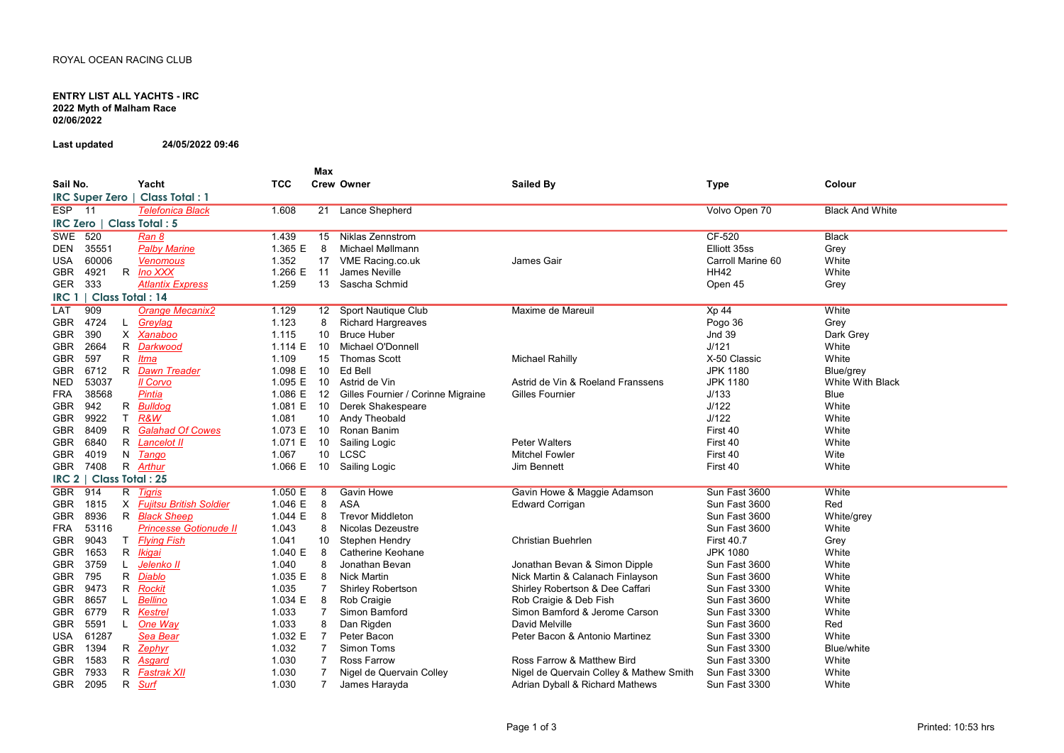## ENTRY LIST ALL YACHTS - IRC 2022 Myth of Malham Race 02/06/2022

Last updated 24/05/2022 09:46

Sail No. Yacht 7CC Max Crew Owner **Called By Colour Colour Colour** Colour Sailed By **Type** Colour Colour ESP 11 Telefonica Black 1.608 21 Lance Shepherd Lance Shepherd Volvo Open 70 Black And White SWE 520 <u>Ran 8</u> 1.439 15 Niklas Zennstrom CF-520 Black DEN 35551 Palby Marine 1.365 E 8 Michael Møllmann Michael Møllmann Elliott 35ss Grey USA 60006 Venomous 1.352 17 VME Racing.co.uk James Gair Carroll Marine 60 White GBR 4921 R <u>Ino XXX</u> 1.266 E 11 James Neville HH42 White GER 333 <u>Atlantix Express</u> 1.259 13 Sascha Schmid Grey LAT 909 Orange Mecanix2 1.129 12 Sport Nautique Club Maxime de Mareuil Xp 44 Xp 44 White GBR 4724 L Greylag 1.123 8 Richard Hargreaves **Richard Hargreaves** Richard Hargreaves Richard Hargreaves Pogo 36 Grey GBR 390 X Xanaboo 1.115 10 Bruce Huber Bruce Huber Jnd 39 Dark Grey GBR 2664 R Darkwood 1.114 E 10 Michael O'Donnell Michael O'Donnell J/121 White GBR 597 R <u>Itma</u> 1.109 15 Thomas Scott Michael Rahilly X-50 Classic White GBR 6712 R Dawn Treader 1.098 E 10 Ed Bell Ed Bell JPK 1180 Blue/grey NED 53037 IL Corvo 1.095 E 10 Astrid de Vin Astrid de Vin & Roeland Franssens JPK 1180 White With Black FRA 38568 <u>Pintia</u> and the 1.086 E 12 Gilles Fournier / Corinne Migraine Gilles Fournier and the the Sulles of the UMA<br>GBR 942 B Bulldog and the 10 State Shakespeare of Gilles Fournier and the UMA Sulles Sulles Sulles Sull GBR 942 R <u>Bulldoq</u> 1.081 E 10 Derek Shakespeare White GBR 9922 T R&W 1.081 10 Andy Theobald Andy Theobald J/122 White GBR 8409 R Galahad Of Cowes 1.073 E 10 Ronan Banim 1.073 Peter Walters 1.09 First 40 White<br>GBR 6840 R Lancelot II 1.071 E 10 Sailing Logic 19 Peter Walters 1.09 First 40 White GBR 6840 R <u>Lancelot II</u> 1.071 E 10 Sailing Logic Peter Walters First 40 White GBR 4019 N <u>Tango</u> 1.067 10 LCSC Mitchel Fowler First 40 Wite GBR 7408 R <u>Arthur</u> 1.066 E 10 Sailing Logic Jim Bennett White GBR 914 R Tigris 1.050 E 8 Gavin Howe Gavin Howe Gavin Howe & Maggie Adamson Sun Fast 3600 White GBR 1815 X <u>Fujitsu British Soldier</u> 1.046 E 8 ASA Edward Corrigan Sun Fast 3600 Red GBR 8936 R <u>Black Sheep</u> 1.044 E 8 Trevor Middleton Sun Fast 3600 White/grey FRA 53116 <u>Princesse Gotionude II</u> 1.043 8 Nicolas Dezeustre Nicolas Annual Charles Sun Fast 3600 White GBR 9043 T <u>Flying Fish</u> 1.041 10 Stephen Hendry Christian Buehrlen First 40.7 Grey GBR 1653 R Ikigai 1.040 E 8 Catherine Keohane Catherine Keohane JPK 1080 White GBR 3759 L Jelenko II 1.040 8 Jonathan Bevan Jonathan Bevan & Simon Dipple Sun Fast 3600 White GBR 795 R Diablo 1.035 E 8 Nick Martin Nick Martin Nick Martin & Calanach Finlayson GBR 9473 R Rockit 1.035 7 Shirley Robertson Shirley Robertson & Dee Caffari Sun Fast 3300 White GBR 8657 L Bellino 1.034 E 8 Rob Craigie 1.034 E 8 Rob Craigie A Deb Fish Sun Fast 3600 White GBR 6779 R Kestrel 1.033 7 Simon Bamford Simon Bamford & Jerome Carson Sun Fast 3300 White GBR 5591 L <u>One Way</u> 1.033 8 Dan Rigden David Melville Sun Fast 3600 Red USA 61287 Sea Bear 1.032 E 7 Peter Bacon 1.032 Peter Bacon & Antonio Martinez Sun Fast 3300 White GBR 1394 R <u>Zephyr</u> 1.032 7 Simon Toms Sun Fast 3300 Blue/white GBR 1583 R Asgard CH 1.030 7 Ross Farrow Channel Ross Farrow & Matthew Bird Sun Fast 3300 White GBR 7933 R Fastrak XII 1.030 7 Nigel de Quervain Colley Nigel de Quervain Colley & Mathew Smith Sun Fast 3300 White GBR 2095 R Surf 1.030 7 James Harayda Adrian Dyball & Richard Mathews Sun Fast 3300 White IRC Super Zero | Class Total : 1  $\frac{\text{IRC Zero}}{\text{SWF}}$  520 Ran 8 IRC 1 | Class Total : 14 IRC 2 | Class Total : 25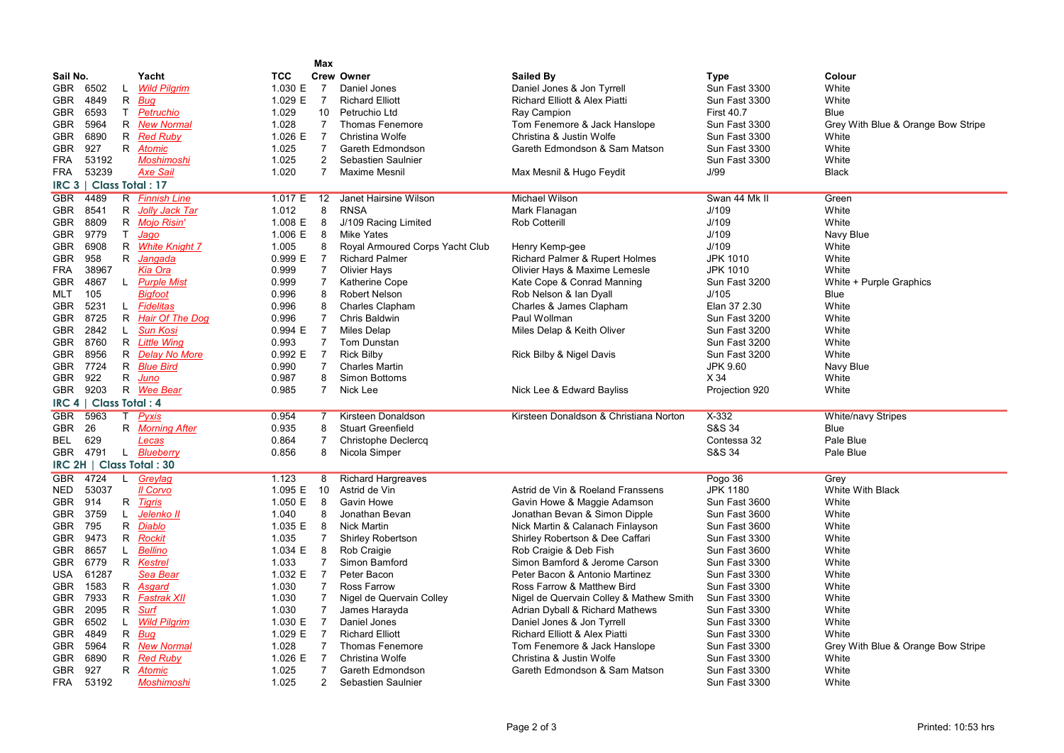|                          |    |                       |            | Max            |                                 |                                         |                   |                                    |  |  |  |
|--------------------------|----|-----------------------|------------|----------------|---------------------------------|-----------------------------------------|-------------------|------------------------------------|--|--|--|
| Sail No.                 |    | Yacht                 | <b>TCC</b> |                | <b>Crew Owner</b>               | Sailed By                               | <b>Type</b>       | Colour                             |  |  |  |
| 6502<br>GBR              | L  | <b>Wild Pilgrim</b>   | 1.030 E    | $\overline{7}$ | Daniel Jones                    | Daniel Jones & Jon Tyrrell              | Sun Fast 3300     | White                              |  |  |  |
| <b>GBR</b><br>4849       | R  | <b>Bug</b>            | 1.029 E    | $\overline{7}$ | <b>Richard Elliott</b>          | Richard Elliott & Alex Piatti           | Sun Fast 3300     | White                              |  |  |  |
| <b>GBR</b><br>6593       |    | T Petruchio           | 1.029      | 10             | Petruchio Ltd                   | Ray Campion                             | <b>First 40.7</b> | Blue                               |  |  |  |
| 5964<br>GBR              |    | R New Normal          | 1.028      | $\overline{7}$ | <b>Thomas Fenemore</b>          | Tom Fenemore & Jack Hanslope            | Sun Fast 3300     | Grey With Blue & Orange Bow Stripe |  |  |  |
| 6890<br><b>GBR</b>       | R  | <b>Red Ruby</b>       | 1.026 E    | $\overline{7}$ | Christina Wolfe                 | Christina & Justin Wolfe                | Sun Fast 3300     | White                              |  |  |  |
| <b>GBR</b><br>927        |    | R Atomic              | 1.025      | $\overline{7}$ | Gareth Edmondson                | Gareth Edmondson & Sam Matson           | Sun Fast 3300     | White                              |  |  |  |
| <b>FRA</b><br>53192      |    | <b>Moshimoshi</b>     | 1.025      | $\overline{2}$ | Sebastien Saulnier              |                                         | Sun Fast 3300     | White                              |  |  |  |
| 53239<br><b>FRA</b>      |    | <b>Axe Sail</b>       | 1.020      | $\overline{7}$ | Maxime Mesnil                   | Max Mesnil & Hugo Feydit                | J/99              | <b>Black</b>                       |  |  |  |
| IRC 3   Class Total: 17  |    |                       |            |                |                                 |                                         |                   |                                    |  |  |  |
| 4489<br><b>GBR</b>       |    | R Finnish Line        | 1.017 E    | 12             | <b>Janet Hairsine Wilson</b>    | <b>Michael Wilson</b>                   | Swan 44 Mk II     | Green                              |  |  |  |
| <b>GBR</b><br>8541       | R  | Jolly Jack Tar        | 1.012      | 8              | <b>RNSA</b>                     | Mark Flanagan                           | J/109             | White                              |  |  |  |
| 8809<br>GBR.             |    | R Mojo Risin'         | 1.008 E    | 8              | J/109 Racing Limited            | <b>Rob Cotterill</b>                    | J/109             | White                              |  |  |  |
| <b>GBR</b><br>9779       |    | T Jago                | 1.006 E    | 8              | <b>Mike Yates</b>               |                                         | J/109             | Navy Blue                          |  |  |  |
| <b>GBR</b><br>6908       | R  | <b>White Knight 7</b> | 1.005      | 8              | Royal Armoured Corps Yacht Club | Henry Kemp-gee                          | J/109             | White                              |  |  |  |
| 958<br><b>GBR</b>        |    | R Jangada             | 0.999 E    | $\overline{7}$ | <b>Richard Palmer</b>           | Richard Palmer & Rupert Holmes          | <b>JPK 1010</b>   | White                              |  |  |  |
| <b>FRA</b><br>38967      |    | <b>Kia Ora</b>        | 0.999      | 7              | <b>Olivier Hays</b>             | Olivier Hays & Maxime Lemesle           | <b>JPK 1010</b>   | White                              |  |  |  |
| <b>GBR</b><br>4867       |    | L Purple Mist         | 0.999      | $\overline{7}$ | <b>Katherine Cope</b>           | Kate Cope & Conrad Manning              | Sun Fast 3200     | White + Purple Graphics            |  |  |  |
| 105<br>MLT               |    | <b>Bigfoot</b>        | 0.996      | 8              | <b>Robert Nelson</b>            | Rob Nelson & Ian Dyall                  | J/105             | Blue                               |  |  |  |
| 5231<br>GBR.             |    | L Fidelitas           | 0.996      | 8              | <b>Charles Clapham</b>          | Charles & James Clapham                 | Elan 37 2.30      | White                              |  |  |  |
| 8725<br><b>GBR</b>       |    | R Hair Of The Dog     | 0.996      | $\overline{7}$ | Chris Baldwin                   | Paul Wollman                            | Sun Fast 3200     | White                              |  |  |  |
| GBR<br>2842              | L. | <b>Sun Kosi</b>       | 0.994 E    | $\overline{7}$ | Miles Delap                     | Miles Delap & Keith Oliver              | Sun Fast 3200     | White                              |  |  |  |
| 8760<br><b>GBR</b>       |    | R Little Wing         | 0.993      | $\overline{7}$ | <b>Tom Dunstan</b>              |                                         | Sun Fast 3200     | White                              |  |  |  |
| <b>GBR</b><br>8956       |    | R Delay No More       | 0.992 E    | $\overline{7}$ | <b>Rick Bilby</b>               | Rick Bilby & Nigel Davis                | Sun Fast 3200     | White                              |  |  |  |
| 7724<br>GBR.             |    | R Blue Bird           | 0.990      | $\overline{7}$ | <b>Charles Martin</b>           |                                         | JPK 9.60          | Navy Blue                          |  |  |  |
| 922<br>GBR               |    | R Juno                | 0.987      | 8              | <b>Simon Bottoms</b>            |                                         | X 34              | White                              |  |  |  |
| 9203<br><b>GBR</b>       |    | R Wee Bear            | 0.985      | $\overline{7}$ | Nick Lee                        | Nick Lee & Edward Bayliss               | Projection 920    | White                              |  |  |  |
| IRC 4   Class Total: 4   |    |                       |            |                |                                 |                                         |                   |                                    |  |  |  |
| <b>GBR</b><br>5963       | T  | Pyxis                 | 0.954      | $\overline{7}$ | Kirsteen Donaldson              | Kirsteen Donaldson & Christiana Norton  | $X-332$           | <b>White/navy Stripes</b>          |  |  |  |
| 26<br><b>GBR</b>         |    | R Morning After       | 0.935      | 8              | <b>Stuart Greenfield</b>        |                                         | S&S 34            | Blue                               |  |  |  |
| 629<br>BEL               |    | Lecas                 | 0.864      | $\overline{7}$ | <b>Christophe Declercq</b>      |                                         | Contessa 32       | Pale Blue                          |  |  |  |
| 4791<br><b>GBR</b>       |    | L Blueberry           | 0.856      | 8              | Nicola Simper                   |                                         | S&S 34            | Pale Blue                          |  |  |  |
| IRC 2H   Class Total: 30 |    |                       |            |                |                                 |                                         |                   |                                    |  |  |  |
| <b>GBR</b><br>4724       | L. | Greylag               | 1.123      | 8              | <b>Richard Hargreaves</b>       |                                         | Pogo 36           | Grey                               |  |  |  |
| <b>NED</b><br>53037      |    | Il Corvo              | 1.095 E    | 10             | Astrid de Vin                   | Astrid de Vin & Roeland Franssens       | <b>JPK 1180</b>   | <b>White With Black</b>            |  |  |  |
| <b>GBR</b><br>914        |    | R Tigris              | 1.050 E    | 8              | Gavin Howe                      | Gavin Howe & Maggie Adamson             | Sun Fast 3600     | White                              |  |  |  |
| <b>GBR</b><br>3759       | L  | Jelenko II            | 1.040      | 8              | Jonathan Bevan                  | Jonathan Bevan & Simon Dipple           | Sun Fast 3600     | White                              |  |  |  |
| <b>GBR</b><br>795        | R  | Diablo                | 1.035 E    | 8              | <b>Nick Martin</b>              | Nick Martin & Calanach Finlayson        | Sun Fast 3600     | White                              |  |  |  |
| 9473<br>GBR              | R  | <b>Rockit</b>         | 1.035      | 7              | <b>Shirley Robertson</b>        | Shirley Robertson & Dee Caffari         | Sun Fast 3300     | White                              |  |  |  |
| 8657<br><b>GBR</b>       | L. | <b>Bellino</b>        | 1.034 E    | 8              | Rob Craigie                     | Rob Craigie & Deb Fish                  | Sun Fast 3600     | White                              |  |  |  |
| <b>GBR</b><br>6779       |    | R Kestrei             | 1.033      | $\overline{7}$ | Simon Bamford                   | Simon Bamford & Jerome Carson           | Sun Fast 3300     | White                              |  |  |  |
| 61287<br><b>USA</b>      |    | Sea Bear              | 1.032 E    | $\overline{7}$ | Peter Bacon                     | Peter Bacon & Antonio Martinez          | Sun Fast 3300     | White                              |  |  |  |
| <b>GBR</b><br>1583       |    | R Asgard              | 1.030      | $\overline{7}$ | Ross Farrow                     | Ross Farrow & Matthew Bird              | Sun Fast 3300     | White                              |  |  |  |
| 7933<br><b>GBR</b>       |    | R Fastrak XII         | 1.030      | $\overline{7}$ | Nigel de Quervain Colley        | Nigel de Quervain Colley & Mathew Smith | Sun Fast 3300     | White                              |  |  |  |
| 2095<br>GBR              |    | R Surf                | 1.030      | $\overline{7}$ | James Harayda                   | Adrian Dyball & Richard Mathews         | Sun Fast 3300     | White                              |  |  |  |
| <b>GBR</b><br>6502       | L. | <b>Wild Pilgrim</b>   | 1.030 E    | $\overline{7}$ | Daniel Jones                    | Daniel Jones & Jon Tyrrell              | Sun Fast 3300     | White                              |  |  |  |
| <b>GBR</b><br>4849       |    | R Bug                 | 1.029 E    | $\overline{7}$ | <b>Richard Elliott</b>          | Richard Elliott & Alex Piatti           | Sun Fast 3300     | White                              |  |  |  |
| 5964<br>GBR              |    | R New Normal          | 1.028      | $\overline{7}$ | <b>Thomas Fenemore</b>          | Tom Fenemore & Jack Hanslope            | Sun Fast 3300     | Grey With Blue & Orange Bow Stripe |  |  |  |
| 6890<br><b>GBR</b>       |    | R Red Ruby            | 1.026 E    | $\overline{7}$ | Christina Wolfe                 | Christina & Justin Wolfe                | Sun Fast 3300     | White                              |  |  |  |
| 927<br><b>GBR</b>        |    | R Atomic              | 1.025      | $\overline{7}$ | Gareth Edmondson                | Gareth Edmondson & Sam Matson           | Sun Fast 3300     | White                              |  |  |  |
| <b>FRA</b><br>53192      |    | <b>Moshimoshi</b>     | 1.025      | $\overline{2}$ | Sebastien Saulnier              |                                         | Sun Fast 3300     | White                              |  |  |  |